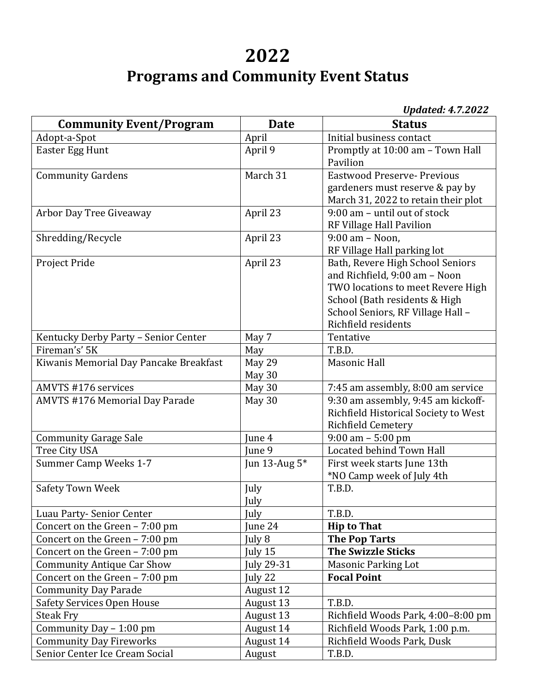## **2022 Programs and Community Event Status**

|--|

| <b>Community Event/Program</b>         | <b>Date</b>      | $v_{\mu}$ and $v_{\mu}$ . $v_{\mu}$ is $v_{\mu}$<br><b>Status</b>                                                                                                                                   |
|----------------------------------------|------------------|-----------------------------------------------------------------------------------------------------------------------------------------------------------------------------------------------------|
| Adopt-a-Spot                           | April            | Initial business contact                                                                                                                                                                            |
| Easter Egg Hunt                        | April 9          | Promptly at 10:00 am - Town Hall<br>Pavilion                                                                                                                                                        |
| <b>Community Gardens</b>               | March 31         | <b>Eastwood Preserve- Previous</b><br>gardeners must reserve & pay by<br>March 31, 2022 to retain their plot                                                                                        |
| Arbor Day Tree Giveaway                | April 23         | 9:00 am - until out of stock<br>RF Village Hall Pavilion                                                                                                                                            |
| Shredding/Recycle                      | April 23         | 9:00 am - Noon,<br>RF Village Hall parking lot                                                                                                                                                      |
| Project Pride                          | April 23         | Bath, Revere High School Seniors<br>and Richfield, 9:00 am - Noon<br>TWO locations to meet Revere High<br>School (Bath residents & High<br>School Seniors, RF Village Hall -<br>Richfield residents |
| Kentucky Derby Party - Senior Center   | May 7            | Tentative                                                                                                                                                                                           |
| Fireman's' 5K                          | May              | T.B.D.                                                                                                                                                                                              |
| Kiwanis Memorial Day Pancake Breakfast | May 29<br>May 30 | Masonic Hall                                                                                                                                                                                        |
| AMVTS #176 services                    | May 30           | 7:45 am assembly, 8:00 am service                                                                                                                                                                   |
| <b>AMVTS #176 Memorial Day Parade</b>  | May 30           | 9:30 am assembly, 9:45 am kickoff-<br>Richfield Historical Society to West<br>Richfield Cemetery                                                                                                    |
| <b>Community Garage Sale</b>           | June 4           | $9:00$ am $-5:00$ pm                                                                                                                                                                                |
| Tree City USA                          | June 9           | Located behind Town Hall                                                                                                                                                                            |
| Summer Camp Weeks 1-7                  | Jun 13-Aug 5*    | First week starts June 13th<br>*NO Camp week of July 4th                                                                                                                                            |
| <b>Safety Town Week</b>                | July<br>July     | T.B.D.                                                                                                                                                                                              |
| Luau Party-Senior Center               | July             | T.B.D.                                                                                                                                                                                              |
| Concert on the Green - 7:00 pm         | June 24          | <b>Hip to That</b>                                                                                                                                                                                  |
| Concert on the Green - 7:00 pm         | July 8           | <b>The Pop Tarts</b>                                                                                                                                                                                |
| Concert on the Green - 7:00 pm         | July 15          | <b>The Swizzle Sticks</b>                                                                                                                                                                           |
| <b>Community Antique Car Show</b>      | July 29-31       | <b>Masonic Parking Lot</b>                                                                                                                                                                          |
| Concert on the Green - 7:00 pm         | July 22          | <b>Focal Point</b>                                                                                                                                                                                  |
| <b>Community Day Parade</b>            | August 12        |                                                                                                                                                                                                     |
| Safety Services Open House             | August 13        | T.B.D.                                                                                                                                                                                              |
| <b>Steak Fry</b>                       | August 13        | Richfield Woods Park, 4:00-8:00 pm                                                                                                                                                                  |
| Community Day - 1:00 pm                | August 14        | Richfield Woods Park, 1:00 p.m.                                                                                                                                                                     |
| <b>Community Day Fireworks</b>         | August 14        | Richfield Woods Park, Dusk                                                                                                                                                                          |
| Senior Center Ice Cream Social         | August           | T.B.D.                                                                                                                                                                                              |